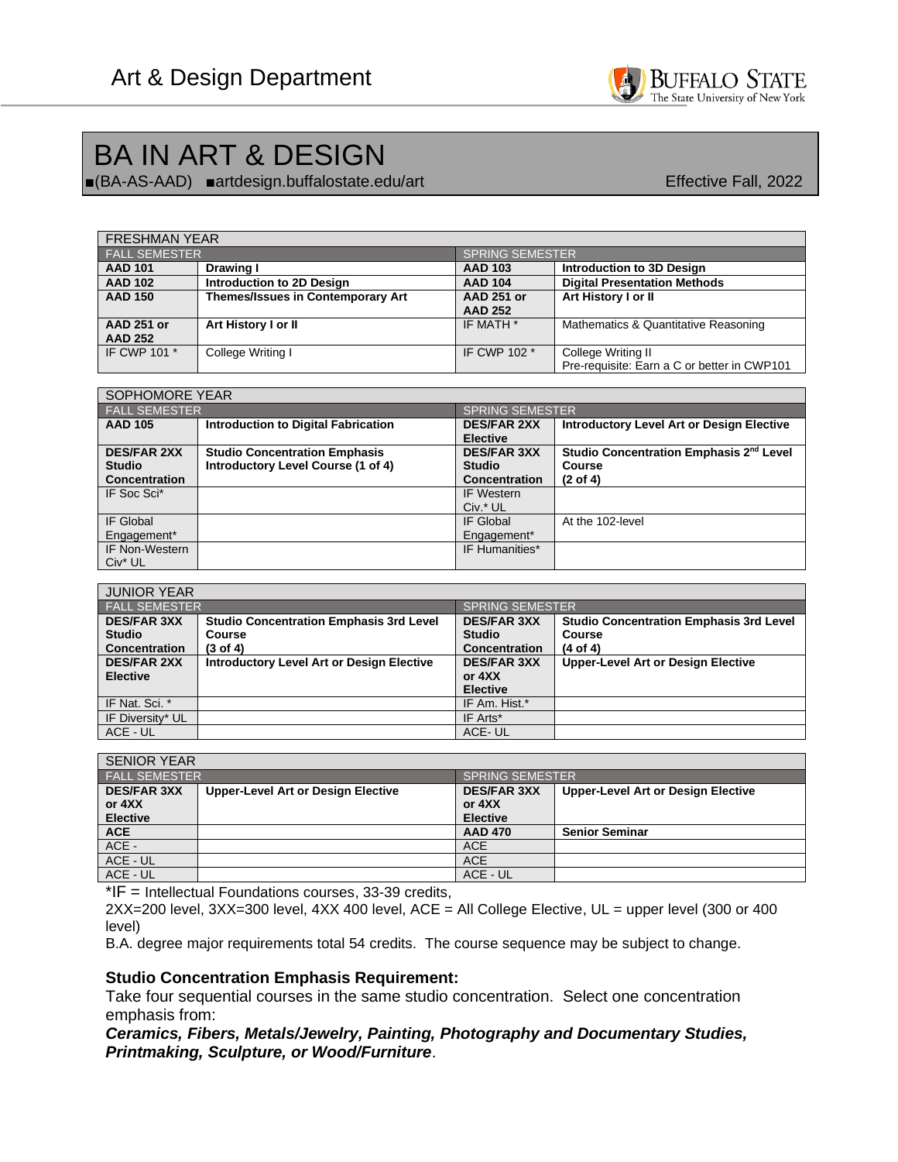

# BA IN ART & DESIGN

■(BA-AS-AAD) ■artdesign.buffalostate.edu/artEffective Fall, 2022

| <b>FRESHMAN YEAR</b> |                                          |                        |                                             |
|----------------------|------------------------------------------|------------------------|---------------------------------------------|
| I FALL SEMESTER'     |                                          | <b>SPRING SEMESTER</b> |                                             |
| <b>AAD 101</b>       | Drawing I                                | <b>AAD 103</b>         | Introduction to 3D Design                   |
| <b>AAD 102</b>       | Introduction to 2D Design                | <b>AAD 104</b>         | <b>Digital Presentation Methods</b>         |
| <b>AAD 150</b>       | <b>Themes/Issues in Contemporary Art</b> | <b>AAD 251 or</b>      | Art History I or II                         |
|                      |                                          | <b>AAD 252</b>         |                                             |
| <b>AAD 251 or</b>    | Art History I or II                      | IF MATH *              | Mathematics & Quantitative Reasoning        |
| <b>AAD 252</b>       |                                          |                        |                                             |
| IF CWP 101 *         | College Writing I                        | IF CWP 102 *           | College Writing II                          |
|                      |                                          |                        | Pre-requisite: Earn a C or better in CWP101 |

| SOPHOMORE YEAR       |                                            |                                       |                                                     |
|----------------------|--------------------------------------------|---------------------------------------|-----------------------------------------------------|
| <b>FALL SEMESTER</b> |                                            | <b>SPRING SEMESTER</b>                |                                                     |
| <b>AAD 105</b>       | <b>Introduction to Digital Fabrication</b> | <b>DES/FAR 2XX</b><br><b>Elective</b> | <b>Introductory Level Art or Design Elective</b>    |
| <b>DES/FAR 2XX</b>   | <b>Studio Concentration Emphasis</b>       | <b>DES/FAR 3XX</b>                    | Studio Concentration Emphasis 2 <sup>nd</sup> Level |
| <b>Studio</b>        | Introductory Level Course (1 of 4)         | <b>Studio</b>                         | Course                                              |
| Concentration        |                                            | <b>Concentration</b>                  | $(2 \text{ of } 4)$                                 |
| IF Soc Sci*          |                                            | IF Western                            |                                                     |
|                      |                                            | Civ.* UL                              |                                                     |
| IF Global            |                                            | IF Global                             | At the 102-level                                    |
| Engagement*          |                                            | Engagement*                           |                                                     |
| IF Non-Western       |                                            | IF Humanities*                        |                                                     |
| Civ <sup>*</sup> UL  |                                            |                                       |                                                     |

| <b>JUNIOR YEAR</b>   |                                                  |                        |                                                |
|----------------------|--------------------------------------------------|------------------------|------------------------------------------------|
| I FALL SEMESTER'     |                                                  | <b>SPRING SEMESTER</b> |                                                |
| <b>DES/FAR 3XX</b>   | <b>Studio Concentration Emphasis 3rd Level</b>   | <b>DES/FAR 3XX</b>     | <b>Studio Concentration Emphasis 3rd Level</b> |
| <b>Studio</b>        | <b>Course</b>                                    | <b>Studio</b>          | Course                                         |
| <b>Concentration</b> | $(3 \text{ of } 4)$                              | <b>Concentration</b>   | $(4$ of $4)$                                   |
| <b>DES/FAR 2XX</b>   | <b>Introductory Level Art or Design Elective</b> | <b>DES/FAR 3XX</b>     | <b>Upper-Level Art or Design Elective</b>      |
| <b>Elective</b>      |                                                  | or $4XX$               |                                                |
|                      |                                                  | <b>Elective</b>        |                                                |
| IF Nat. Sci. *       |                                                  | IF Am. Hist.*          |                                                |
| IF Diversity* UL     |                                                  | IF Arts*               |                                                |
| ACE - UL             |                                                  | ACE-UL                 |                                                |

| <b>SENIOR YEAR</b>   |                                           |                        |                                           |
|----------------------|-------------------------------------------|------------------------|-------------------------------------------|
| <b>FALL SEMESTER</b> |                                           | <b>SPRING SEMESTER</b> |                                           |
| <b>DES/FAR 3XX</b>   | <b>Upper-Level Art or Design Elective</b> | <b>DES/FAR 3XX</b>     | <b>Upper-Level Art or Design Elective</b> |
| or 4XX               |                                           | or 4XX                 |                                           |
| <b>Elective</b>      |                                           | <b>Elective</b>        |                                           |
| <b>ACE</b>           |                                           | <b>AAD 470</b>         | <b>Senior Seminar</b>                     |
| ACE -                |                                           | <b>ACE</b>             |                                           |
| ACE - UL             |                                           | <b>ACE</b>             |                                           |
| ACE - UL             |                                           | ACE - UL               |                                           |

\*IF = Intellectual Foundations courses, 33-39 credits,

2XX=200 level, 3XX=300 level, 4XX 400 level, ACE = All College Elective, UL = upper level (300 or 400 level)

B.A. degree major requirements total 54 credits. The course sequence may be subject to change.

#### **Studio Concentration Emphasis Requirement:**

Take four sequential courses in the same studio concentration. Select one concentration emphasis from:

*Ceramics, Fibers, Metals/Jewelry, Painting, Photography and Documentary Studies, Printmaking, Sculpture, or Wood/Furniture*.